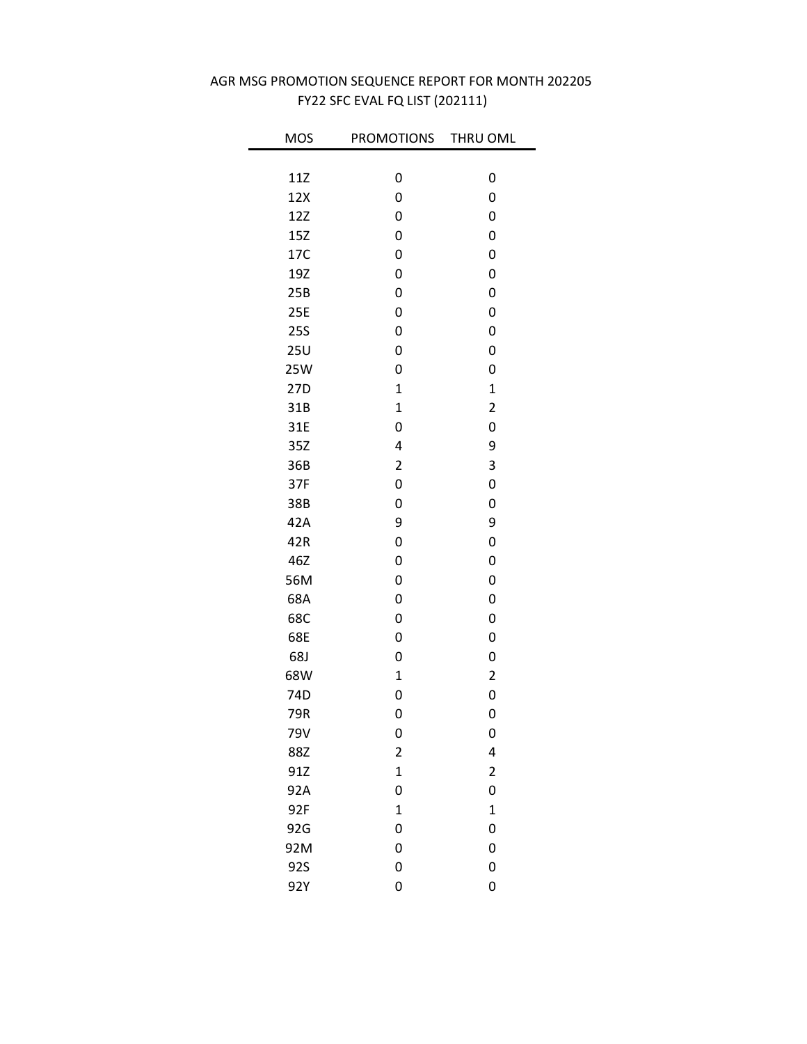| <b>MOS</b> | PROMOTIONS              | THRU OML                |
|------------|-------------------------|-------------------------|
|            |                         |                         |
| 11Z        | 0                       | 0                       |
| 12X        | 0                       | 0                       |
| 12Z        | 0                       | 0                       |
| 15Z        | 0                       | 0                       |
| 17C        | 0                       | 0                       |
| 19Z        | 0                       | 0                       |
| 25B        | 0                       | 0                       |
| 25E        | 0                       | 0                       |
| <b>25S</b> | 0                       | 0                       |
| 25U        | 0                       | 0                       |
| <b>25W</b> | 0                       | 0                       |
| 27D        | $\mathbf{1}$            | $\mathbf{1}$            |
| 31B        | $\mathbf 1$             | $\overline{\mathbf{c}}$ |
| 31E        | 0                       | 0                       |
| 35Z        | 4                       | 9                       |
| 36B        | $\overline{\mathbf{c}}$ | 3                       |
| 37F        | 0                       | 0                       |
| 38B        | 0                       | 0                       |
| 42A        | 9                       | 9                       |
| 42R        | 0                       | 0                       |
| 46Z        | 0                       | 0                       |
| 56M        | 0                       | 0                       |
| 68A        | 0                       | 0                       |
| 68C        | 0                       | 0                       |
| 68E        | 0                       | 0                       |
| 68J        | 0                       | 0                       |
| 68W        | $\mathbf 1$             | $\overline{c}$          |
| 74D        | 0                       | 0                       |
| 79R        | 0                       | 0                       |
| 79V        | 0                       | 0                       |
| 88Z        | $\overline{\mathbf{c}}$ | 4                       |
| 91Z        | $\mathbf 1$             | $\overline{\mathbf{c}}$ |
| 92A        | 0                       | 0                       |
| 92F        | $\overline{1}$          | $\overline{1}$          |
| 92G        | 0                       | 0                       |
| 92M        | 0                       | 0                       |
| 92S        | 0                       | 0                       |
| 92Y        | 0                       | 0                       |

## FY22 SFC EVAL FQ LIST (202111) AGR MSG PROMOTION SEQUENCE REPORT FOR MONTH 202205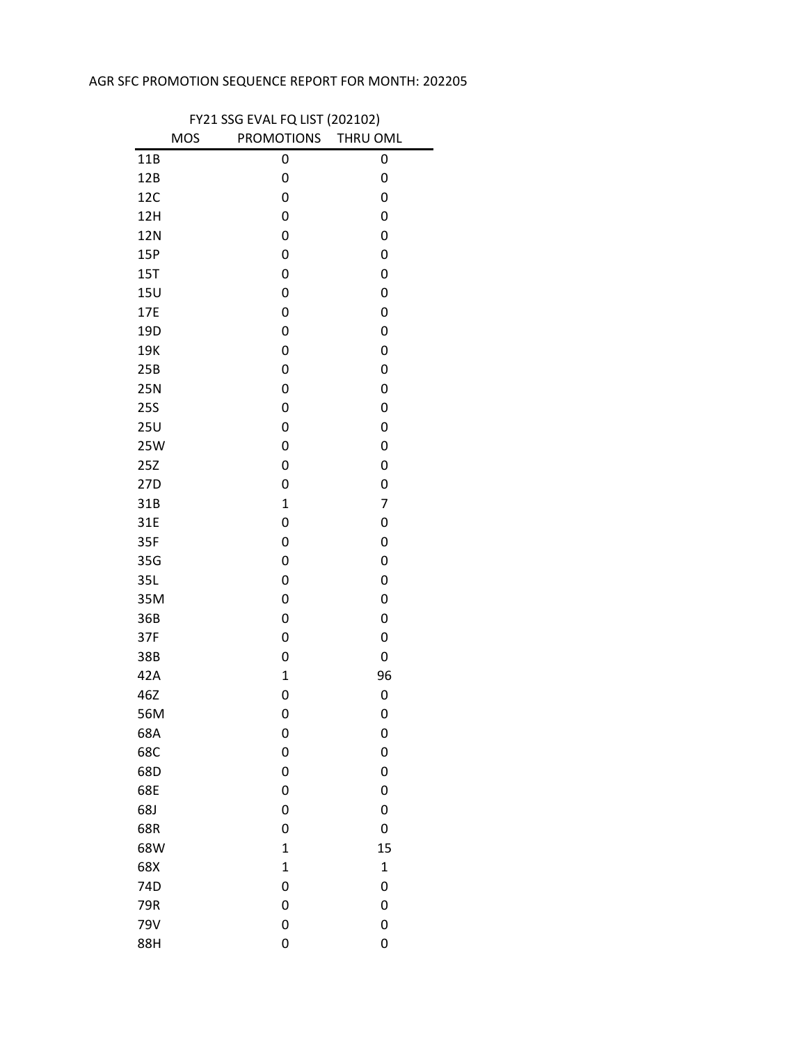## AGR SFC PROMOTION SEQUENCE REPORT FOR MONTH: 202205

| FY21 SSG EVAL FQ LIST (202102) |            |                     |             |  |  |  |
|--------------------------------|------------|---------------------|-------------|--|--|--|
|                                | <b>MOS</b> | PROMOTIONS THRU OML |             |  |  |  |
| 11B                            |            | 0                   | 0           |  |  |  |
| 12B                            |            | 0                   | 0           |  |  |  |
| 12C                            |            | 0                   | 0           |  |  |  |
| 12H                            |            | 0                   | 0           |  |  |  |
| 12N                            |            | 0                   | 0           |  |  |  |
| 15P                            |            | 0                   | 0           |  |  |  |
| 15T                            |            | 0                   | 0           |  |  |  |
| 15U                            |            | 0                   | 0           |  |  |  |
| 17E                            |            | 0                   | 0           |  |  |  |
| 19D                            |            | 0                   | 0           |  |  |  |
| 19K                            |            | 0                   | 0           |  |  |  |
| 25B                            |            | 0                   | 0           |  |  |  |
| <b>25N</b>                     |            | 0                   | 0           |  |  |  |
| <b>25S</b>                     |            | 0                   | 0           |  |  |  |
| 25U                            |            | 0                   | 0           |  |  |  |
| 25W                            |            | 0                   | 0           |  |  |  |
| 25Z                            |            | 0                   | 0           |  |  |  |
| 27D                            |            | 0                   | 0           |  |  |  |
| 31B                            |            | $\mathbf 1$         | 7           |  |  |  |
| 31E                            |            | 0                   | 0           |  |  |  |
| 35F                            |            | 0                   | 0           |  |  |  |
| 35G                            |            | 0                   | 0           |  |  |  |
| 35L                            |            | 0                   | 0           |  |  |  |
| 35M                            |            | 0                   | 0           |  |  |  |
| 36B                            |            | 0                   | 0           |  |  |  |
| 37F                            |            | 0                   | 0           |  |  |  |
| 38B                            |            | 0                   | 0           |  |  |  |
| 42A                            |            | $\mathbf 1$         | 96          |  |  |  |
| 46Z                            |            | 0                   | 0           |  |  |  |
| 56M                            |            | 0                   | 0           |  |  |  |
| 68A                            |            | 0                   | 0           |  |  |  |
| 68C                            |            | 0                   | 0           |  |  |  |
| 68D                            |            | 0                   | 0           |  |  |  |
| 68E                            |            | 0                   | 0           |  |  |  |
| 68J                            |            | 0                   | 0           |  |  |  |
| 68R                            |            | 0                   | 0           |  |  |  |
| 68W                            |            | $\overline{1}$      | 15          |  |  |  |
| 68X                            |            | $\mathbf 1$         | $\mathbf 1$ |  |  |  |
| 74D                            |            | 0                   | 0           |  |  |  |
| 79R                            |            | 0                   | 0           |  |  |  |
| 79V                            |            | 0                   | 0           |  |  |  |
| 88H                            |            | 0                   | 0           |  |  |  |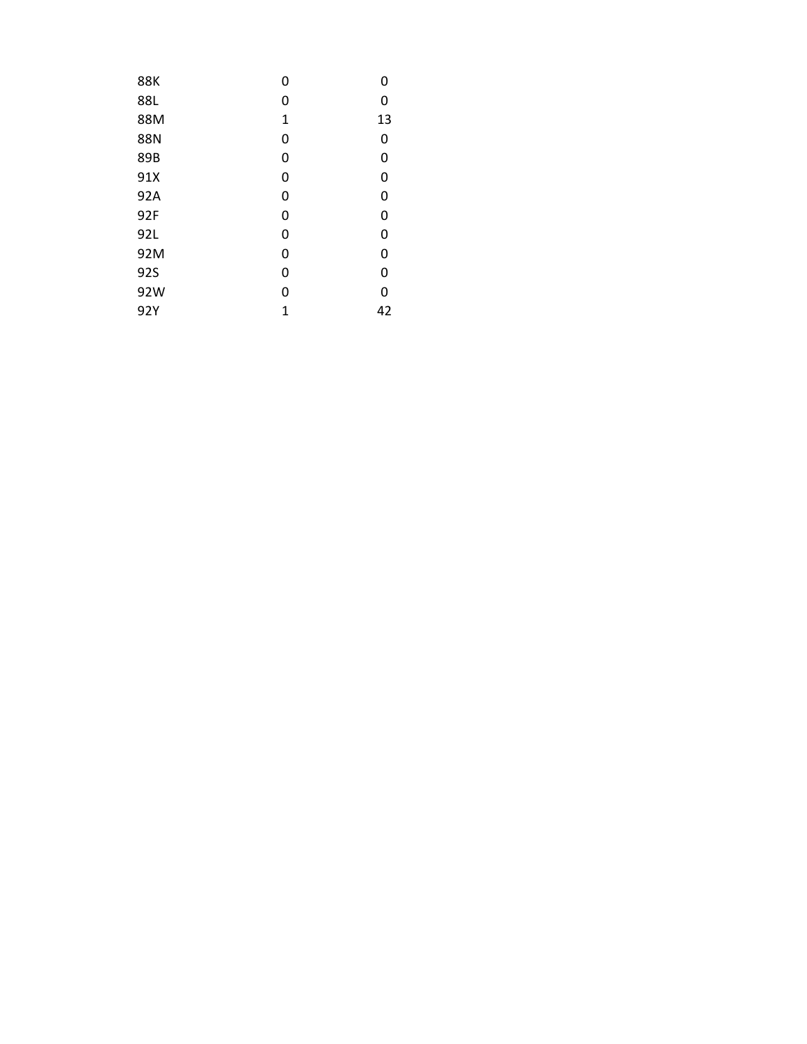| <b>88K</b> | 0 | 0  |
|------------|---|----|
| 88L        | 0 | 0  |
| 88M        | 1 | 13 |
| <b>88N</b> | 0 | 0  |
| 89B        | 0 | 0  |
| 91X        | 0 | 0  |
| 92A        | 0 | 0  |
| 92F        | 0 | 0  |
| 92L        | 0 | 0  |
| 92M        | 0 | 0  |
| 92S        | 0 | 0  |
| 92W        | 0 | 0  |
| 92Y        | 1 | 42 |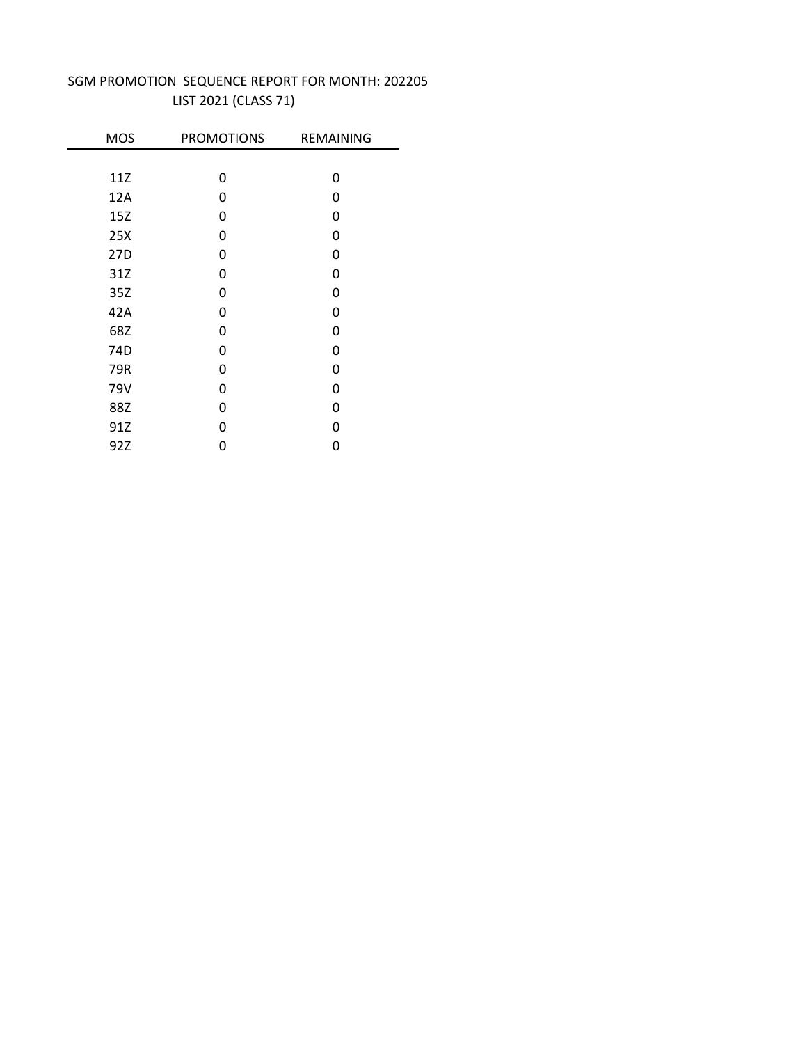| <b>MOS</b>      | <b>PROMOTIONS</b> | <b>REMAINING</b> |
|-----------------|-------------------|------------------|
|                 |                   |                  |
| 11Z             | 0                 | 0                |
| 12A             | 0                 | 0                |
| 15Z             | 0                 | 0                |
| 25X             | 0                 | 0                |
| 27D             | 0                 | 0                |
| 31Z             | 0                 | 0                |
| 35Z             | 0                 | 0                |
| 42A             | 0                 | 0                |
| 68Z             | 0                 | 0                |
| 74 <sub>D</sub> | 0                 | 0                |
| 79R             | 0                 | 0                |
| 79V             | 0                 | 0                |
| 88Z             | 0                 | 0                |
| 91Z             | ი                 | 0                |
| 92Z             | 0                 | 0                |

## LIST 2021 (CLASS 71) SGM PROMOTION SEQUENCE REPORT FOR MONTH: 202205